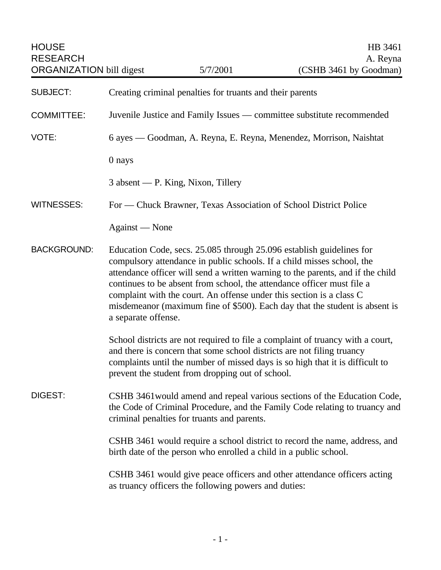| <b>HOUSE</b><br><b>RESEARCH</b><br><b>ORGANIZATION bill digest</b> |                                                                                                                                                                                                                                                                                                                                                                                                                                                                                           | 5/7/2001                                             | HB 3461<br>A. Reyna<br>(CSHB 3461 by Goodman)                            |
|--------------------------------------------------------------------|-------------------------------------------------------------------------------------------------------------------------------------------------------------------------------------------------------------------------------------------------------------------------------------------------------------------------------------------------------------------------------------------------------------------------------------------------------------------------------------------|------------------------------------------------------|--------------------------------------------------------------------------|
| <b>SUBJECT:</b>                                                    | Creating criminal penalties for truants and their parents                                                                                                                                                                                                                                                                                                                                                                                                                                 |                                                      |                                                                          |
| <b>COMMITTEE:</b>                                                  | Juvenile Justice and Family Issues — committee substitute recommended                                                                                                                                                                                                                                                                                                                                                                                                                     |                                                      |                                                                          |
| VOTE:                                                              |                                                                                                                                                                                                                                                                                                                                                                                                                                                                                           |                                                      | 6 ayes — Goodman, A. Reyna, E. Reyna, Menendez, Morrison, Naishtat       |
|                                                                    | 0 nays                                                                                                                                                                                                                                                                                                                                                                                                                                                                                    |                                                      |                                                                          |
|                                                                    | 3 absent — P. King, Nixon, Tillery                                                                                                                                                                                                                                                                                                                                                                                                                                                        |                                                      |                                                                          |
| <b>WITNESSES:</b>                                                  | For — Chuck Brawner, Texas Association of School District Police                                                                                                                                                                                                                                                                                                                                                                                                                          |                                                      |                                                                          |
|                                                                    | Against — None                                                                                                                                                                                                                                                                                                                                                                                                                                                                            |                                                      |                                                                          |
| <b>BACKGROUND:</b>                                                 | Education Code, secs. 25.085 through 25.096 establish guidelines for<br>compulsory attendance in public schools. If a child misses school, the<br>attendance officer will send a written warning to the parents, and if the child<br>continues to be absent from school, the attendance officer must file a<br>complaint with the court. An offense under this section is a class C<br>misdemeanor (maximum fine of \$500). Each day that the student is absent is<br>a separate offense. |                                                      |                                                                          |
|                                                                    | School districts are not required to file a complaint of truancy with a court,<br>and there is concern that some school districts are not filing truancy<br>complaints until the number of missed days is so high that it is difficult to<br>prevent the student from dropping out of school.                                                                                                                                                                                             |                                                      |                                                                          |
| DIGEST:                                                            | CSHB 3461 would amend and repeal various sections of the Education Code,<br>the Code of Criminal Procedure, and the Family Code relating to truancy and<br>criminal penalties for truants and parents.                                                                                                                                                                                                                                                                                    |                                                      |                                                                          |
|                                                                    | CSHB 3461 would require a school district to record the name, address, and<br>birth date of the person who enrolled a child in a public school.                                                                                                                                                                                                                                                                                                                                           |                                                      |                                                                          |
|                                                                    |                                                                                                                                                                                                                                                                                                                                                                                                                                                                                           | as truancy officers the following powers and duties: | CSHB 3461 would give peace officers and other attendance officers acting |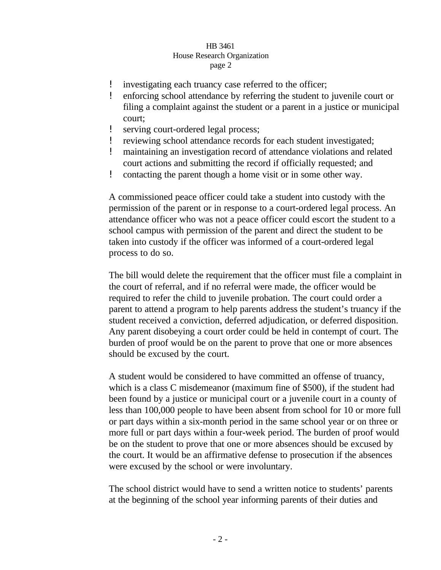## HB 3461 House Research Organization page 2

- ! investigating each truancy case referred to the officer;
- ! enforcing school attendance by referring the student to juvenile court or filing a complaint against the student or a parent in a justice or municipal court;
- serving court-ordered legal process;
- reviewing school attendance records for each student investigated;
- ! maintaining an investigation record of attendance violations and related court actions and submitting the record if officially requested; and
- ! contacting the parent though a home visit or in some other way.

A commissioned peace officer could take a student into custody with the permission of the parent or in response to a court-ordered legal process. An attendance officer who was not a peace officer could escort the student to a school campus with permission of the parent and direct the student to be taken into custody if the officer was informed of a court-ordered legal process to do so.

The bill would delete the requirement that the officer must file a complaint in the court of referral, and if no referral were made, the officer would be required to refer the child to juvenile probation. The court could order a parent to attend a program to help parents address the student's truancy if the student received a conviction, deferred adjudication, or deferred disposition. Any parent disobeying a court order could be held in contempt of court. The burden of proof would be on the parent to prove that one or more absences should be excused by the court.

A student would be considered to have committed an offense of truancy, which is a class C misdemeanor (maximum fine of \$500), if the student had been found by a justice or municipal court or a juvenile court in a county of less than 100,000 people to have been absent from school for 10 or more full or part days within a six-month period in the same school year or on three or more full or part days within a four-week period. The burden of proof would be on the student to prove that one or more absences should be excused by the court. It would be an affirmative defense to prosecution if the absences were excused by the school or were involuntary.

The school district would have to send a written notice to students' parents at the beginning of the school year informing parents of their duties and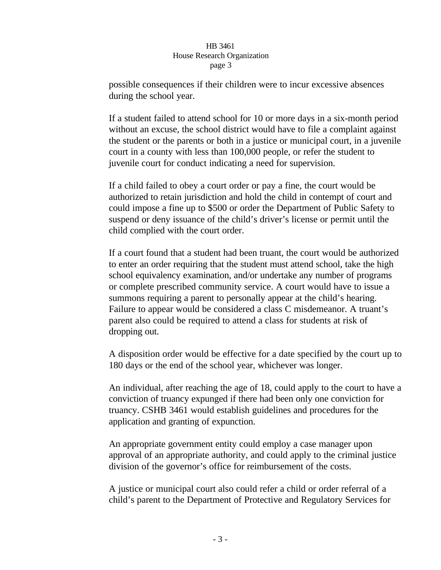## HB 3461 House Research Organization page 3

possible consequences if their children were to incur excessive absences during the school year.

If a student failed to attend school for 10 or more days in a six-month period without an excuse, the school district would have to file a complaint against the student or the parents or both in a justice or municipal court, in a juvenile court in a county with less than 100,000 people, or refer the student to juvenile court for conduct indicating a need for supervision.

If a child failed to obey a court order or pay a fine, the court would be authorized to retain jurisdiction and hold the child in contempt of court and could impose a fine up to \$500 or order the Department of Public Safety to suspend or deny issuance of the child's driver's license or permit until the child complied with the court order.

If a court found that a student had been truant, the court would be authorized to enter an order requiring that the student must attend school, take the high school equivalency examination, and/or undertake any number of programs or complete prescribed community service. A court would have to issue a summons requiring a parent to personally appear at the child's hearing. Failure to appear would be considered a class C misdemeanor. A truant's parent also could be required to attend a class for students at risk of dropping out.

A disposition order would be effective for a date specified by the court up to 180 days or the end of the school year, whichever was longer.

An individual, after reaching the age of 18, could apply to the court to have a conviction of truancy expunged if there had been only one conviction for truancy. CSHB 3461 would establish guidelines and procedures for the application and granting of expunction.

An appropriate government entity could employ a case manager upon approval of an appropriate authority, and could apply to the criminal justice division of the governor's office for reimbursement of the costs.

A justice or municipal court also could refer a child or order referral of a child's parent to the Department of Protective and Regulatory Services for